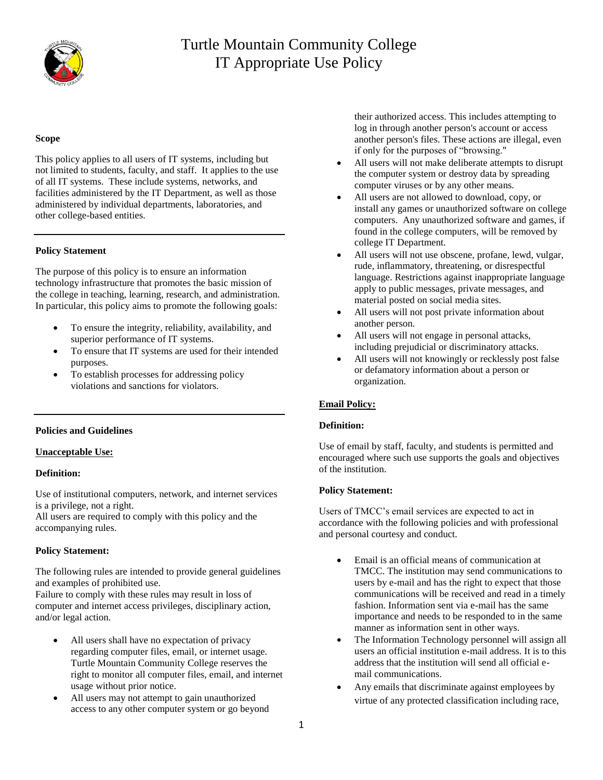

## **Scope**

This policy applies to all users of IT systems, including but not limited to students, faculty, and staff. It applies to the use of all IT systems. These include systems, networks, and facilities administered by the IT Department, as well as those administered by individual departments, laboratories, and other college-based entities.

## **Policy Statement**

The purpose of this policy is to ensure an information technology infrastructure that promotes the basic mission of the college in teaching, learning, research, and administration. In particular, this policy aims to promote the following goals:

- To ensure the integrity, reliability, availability, and superior performance of IT systems.
- To ensure that IT systems are used for their intended purposes.
- To establish processes for addressing policy violations and sanctions for violators.

## **Policies and Guidelines**

## **Unacceptable Use:**

## **Definition:**

Use of institutional computers, network, and internet services is a privilege, not a right.

All users are required to comply with this policy and the accompanying rules.

#### **Policy Statement:**

The following rules are intended to provide general guidelines and examples of prohibited use.

Failure to comply with these rules may result in loss of computer and internet access privileges, disciplinary action, and/or legal action.

- All users shall have no expectation of privacy regarding computer files, email, or internet usage. Turtle Mountain Community College reserves the right to monitor all computer files, email, and internet usage without prior notice.
- All users may not attempt to gain unauthorized access to any other computer system or go beyond

their authorized access. This includes attempting to log in through another person's account or access another person's files. These actions are illegal, even if only for the purposes of "browsing."

- All users will not make deliberate attempts to disrupt the computer system or destroy data by spreading computer viruses or by any other means.
- All users are not allowed to download, copy, or install any games or unauthorized software on college computers. Any unauthorized software and games, if found in the college computers, will be removed by college IT Department.
- All users will not use obscene, profane, lewd, vulgar, rude, inflammatory, threatening, or disrespectful language. Restrictions against inappropriate language apply to public messages, private messages, and material posted on social media sites.
- All users will not post private information about another person.
- All users will not engage in personal attacks, including prejudicial or discriminatory attacks.
- All users will not knowingly or recklessly post false or defamatory information about a person or organization.

# **Email Policy:**

## **Definition:**

Use of email by staff, faculty, and students is permitted and encouraged where such use supports the goals and objectives of the institution.

## **Policy Statement:**

Users of TMCC's email services are expected to act in accordance with the following policies and with professional and personal courtesy and conduct.

- Email is an official means of communication at TMCC. The institution may send communications to users by e-mail and has the right to expect that those communications will be received and read in a timely fashion. Information sent via e-mail has the same importance and needs to be responded to in the same manner as information sent in other ways.
- The Information Technology personnel will assign all users an official institution e-mail address. It is to this address that the institution will send all official email communications.
- Any emails that discriminate against employees by virtue of any protected classification including race,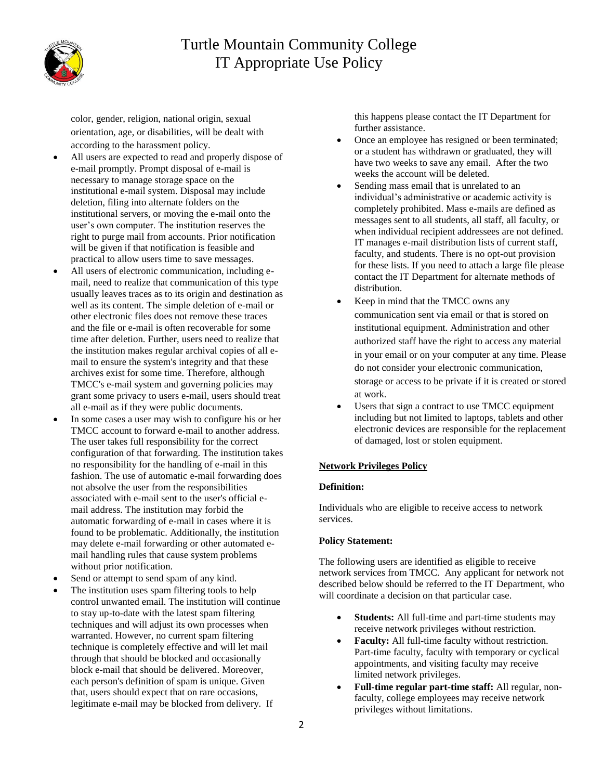

color, gender, religion, national origin, sexual orientation, age, or disabilities, will be dealt with according to the harassment policy.

- All users are expected to read and properly dispose of e-mail promptly. Prompt disposal of e-mail is necessary to manage storage space on the institutional e-mail system. Disposal may include deletion, filing into alternate folders on the institutional servers, or moving the e-mail onto the user's own computer. The institution reserves the right to purge mail from accounts. Prior notification will be given if that notification is feasible and practical to allow users time to save messages.
- All users of electronic communication, including email, need to realize that communication of this type usually leaves traces as to its origin and destination as well as its content. The simple deletion of e-mail or other electronic files does not remove these traces and the file or e-mail is often recoverable for some time after deletion. Further, users need to realize that the institution makes regular archival copies of all email to ensure the system's integrity and that these archives exist for some time. Therefore, although TMCC's e-mail system and governing policies may grant some privacy to users e-mail, users should treat all e-mail as if they were public documents.
- In some cases a user may wish to configure his or her TMCC account to forward e-mail to another address. The user takes full responsibility for the correct configuration of that forwarding. The institution takes no responsibility for the handling of e-mail in this fashion. The use of automatic e-mail forwarding does not absolve the user from the responsibilities associated with e-mail sent to the user's official email address. The institution may forbid the automatic forwarding of e-mail in cases where it is found to be problematic. Additionally, the institution may delete e-mail forwarding or other automated email handling rules that cause system problems without prior notification.
- Send or attempt to send spam of any kind.
- The institution uses spam filtering tools to help control unwanted email. The institution will continue to stay up-to-date with the latest spam filtering techniques and will adjust its own processes when warranted. However, no current spam filtering technique is completely effective and will let mail through that should be blocked and occasionally block e-mail that should be delivered. Moreover, each person's definition of spam is unique. Given that, users should expect that on rare occasions, legitimate e-mail may be blocked from delivery. If

this happens please contact the IT Department for further assistance.

- Once an employee has resigned or been terminated; or a student has withdrawn or graduated, they will have two weeks to save any email. After the two weeks the account will be deleted.
- Sending mass email that is unrelated to an individual's administrative or academic activity is completely prohibited. Mass e-mails are defined as messages sent to all students, all staff, all faculty, or when individual recipient addressees are not defined. IT manages e-mail distribution lists of current staff, faculty, and students. There is no opt-out provision for these lists. If you need to attach a large file please contact the IT Department for alternate methods of distribution.
- Keep in mind that the TMCC owns any communication sent via email or that is stored on institutional equipment. Administration and other authorized staff have the right to access any material in your email or on your computer at any time. Please do not consider your electronic communication, storage or access to be private if it is created or stored at work.
- Users that sign a contract to use TMCC equipment including but not limited to laptops, tablets and other electronic devices are responsible for the replacement of damaged, lost or stolen equipment.

## **Network Privileges Policy**

## **Definition:**

Individuals who are eligible to receive access to network services.

#### **Policy Statement:**

The following users are identified as eligible to receive network services from TMCC. Any applicant for network not described below should be referred to the IT Department, who will coordinate a decision on that particular case.

- **Students:** All full-time and part-time students may receive network privileges without restriction.
- **Faculty:** All full-time faculty without restriction. Part-time faculty, faculty with temporary or cyclical appointments, and visiting faculty may receive limited network privileges.
- **Full-time regular part-time staff:** All regular, nonfaculty, college employees may receive network privileges without limitations.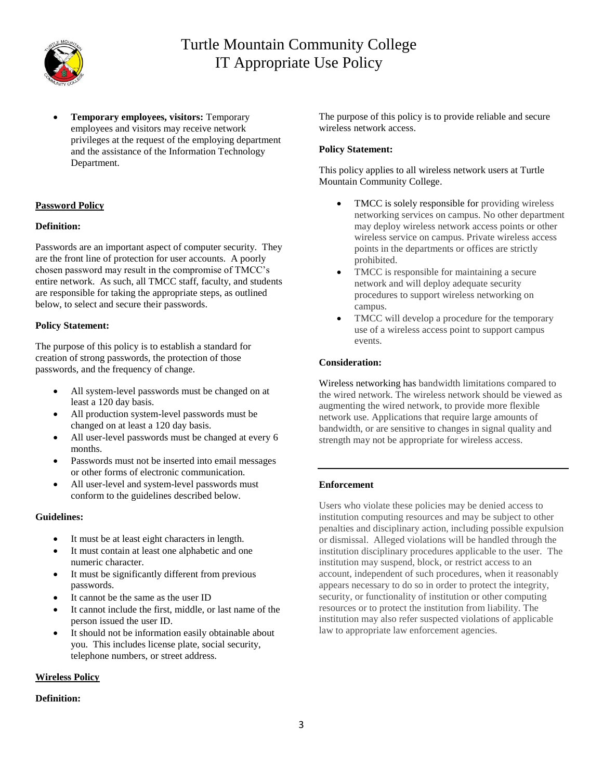

 **Temporary employees, visitors:** Temporary employees and visitors may receive network privileges at the request of the employing department and the assistance of the Information Technology Department.

# **Password Policy**

# **Definition:**

Passwords are an important aspect of computer security. They are the front line of protection for user accounts. A poorly chosen password may result in the compromise of TMCC's entire network. As such, all TMCC staff, faculty, and students are responsible for taking the appropriate steps, as outlined below, to select and secure their passwords.

## **Policy Statement:**

The purpose of this policy is to establish a standard for creation of strong passwords, the protection of those passwords, and the frequency of change.

- All system-level passwords must be changed on at least a 120 day basis.
- All production system-level passwords must be changed on at least a 120 day basis.
- All user-level passwords must be changed at every 6 months.
- Passwords must not be inserted into email messages or other forms of electronic communication.
- All user-level and system-level passwords must conform to the guidelines described below.

## **Guidelines:**

- It must be at least eight characters in length.
- It must contain at least one alphabetic and one numeric character.
- It must be significantly different from previous passwords.
- It cannot be the same as the user ID
- It cannot include the first, middle, or last name of the person issued the user ID.
- It should not be information easily obtainable about you. This includes license plate, social security, telephone numbers, or street address.

# **Wireless Policy**

# **Definition:**

The purpose of this policy is to provide reliable and secure wireless network access.

# **Policy Statement:**

This policy applies to all wireless network users at Turtle Mountain Community College.

- TMCC is solely responsible for providing wireless networking services on campus. No other department may deploy wireless network access points or other wireless service on campus. Private wireless access points in the departments or offices are strictly prohibited.
- TMCC is responsible for maintaining a secure network and will deploy adequate security procedures to support wireless networking on campus.
- TMCC will develop a procedure for the temporary use of a wireless access point to support campus events.

# **Consideration:**

Wireless networking has bandwidth limitations compared to the wired network. The wireless network should be viewed as augmenting the wired network, to provide more flexible network use. Applications that require large amounts of bandwidth, or are sensitive to changes in signal quality and strength may not be appropriate for wireless access.

# **Enforcement**

Users who violate these policies may be denied access to institution computing resources and may be subject to other penalties and disciplinary action, including possible expulsion or dismissal. Alleged violations will be handled through the institution disciplinary procedures applicable to the user. The institution may suspend, block, or restrict access to an account, independent of such procedures, when it reasonably appears necessary to do so in order to protect the integrity, security, or functionality of institution or other computing resources or to protect the institution from liability. The institution may also refer suspected violations of applicable law to appropriate law enforcement agencies.